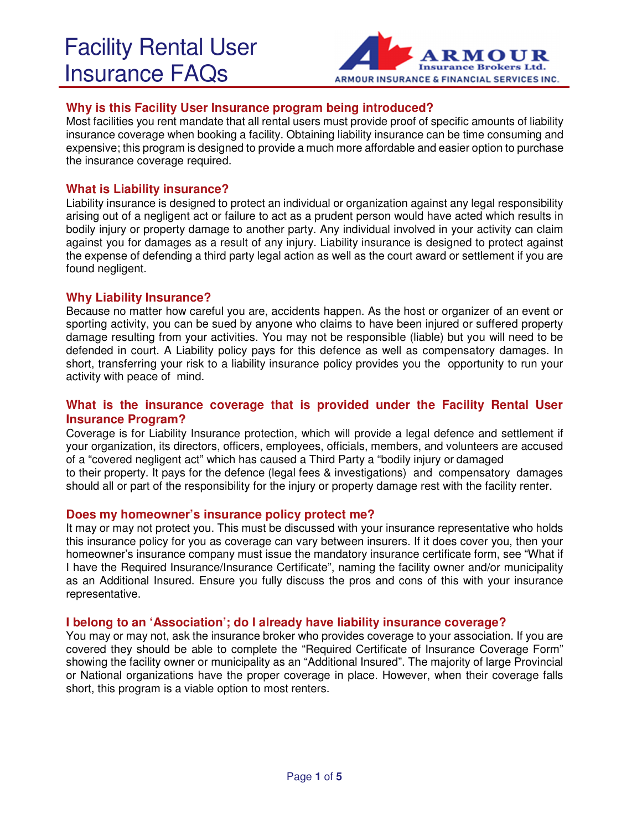

# **Why is this Facility User Insurance program being introduced?**

Most facilities you rent mandate that all rental users must provide proof of specific amounts of liability insurance coverage when booking a facility. Obtaining liability insurance can be time consuming and expensive; this program is designed to provide a much more affordable and easier option to purchase the insurance coverage required.

## **What is Liability insurance?**

Liability insurance is designed to protect an individual or organization against any legal responsibility arising out of a negligent act or failure to act as a prudent person would have acted which results in bodily injury or property damage to another party. Any individual involved in your activity can claim against you for damages as a result of any injury. Liability insurance is designed to protect against the expense of defending a third party legal action as well as the court award or settlement if you are found negligent.

## **Why Liability Insurance?**

Because no matter how careful you are, accidents happen. As the host or organizer of an event or sporting activity, you can be sued by anyone who claims to have been injured or suffered property damage resulting from your activities. You may not be responsible (liable) but you will need to be defended in court. A Liability policy pays for this defence as well as compensatory damages. In short, transferring your risk to a liability insurance policy provides you the opportunity to run your activity with peace of mind.

# **What is the insurance coverage that is provided under the Facility Rental User Insurance Program?**

Coverage is for Liability Insurance protection, which will provide a legal defence and settlement if your organization, its directors, officers, employees, officials, members, and volunteers are accused of a "covered negligent act" which has caused a Third Party a "bodily injury or damaged to their property. It pays for the defence (legal fees & investigations) and compensatory damages should all or part of the responsibility for the injury or property damage rest with the facility renter.

#### **Does my homeowner's insurance policy protect me?**

It may or may not protect you. This must be discussed with your insurance representative who holds this insurance policy for you as coverage can vary between insurers. If it does cover you, then your homeowner's insurance company must issue the mandatory insurance certificate form, see "What if I have the Required Insurance/Insurance Certificate", naming the facility owner and/or municipality as an Additional Insured. Ensure you fully discuss the pros and cons of this with your insurance representative.

#### **I belong to an 'Association'; do I already have liability insurance coverage?**

You may or may not, ask the insurance broker who provides coverage to your association. If you are covered they should be able to complete the "Required Certificate of Insurance Coverage Form" showing the facility owner or municipality as an "Additional Insured". The majority of large Provincial or National organizations have the proper coverage in place. However, when their coverage falls short, this program is a viable option to most renters.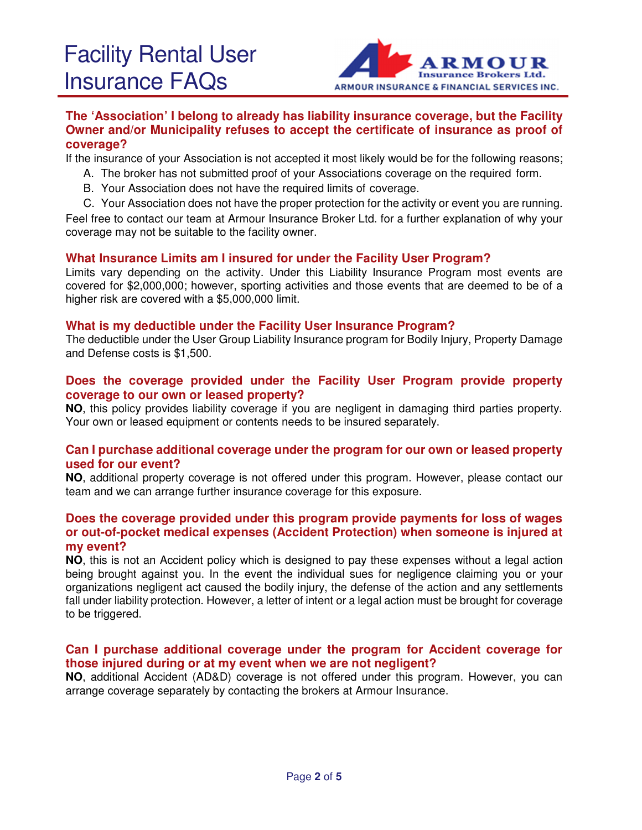

### **The 'Association' I belong to already has liability insurance coverage, but the Facility Owner and/or Municipality refuses to accept the certificate of insurance as proof of coverage?**

If the insurance of your Association is not accepted it most likely would be for the following reasons;

- A. The broker has not submitted proof of your Associations coverage on the required form.
- B. Your Association does not have the required limits of coverage.
- C. Your Association does not have the proper protection for the activity or event you are running.

Feel free to contact our team at Armour Insurance Broker Ltd. for a further explanation of why your coverage may not be suitable to the facility owner.

#### **What Insurance Limits am I insured for under the Facility User Program?**

Limits vary depending on the activity. Under this Liability Insurance Program most events are covered for \$2,000,000; however, sporting activities and those events that are deemed to be of a higher risk are covered with a \$5,000,000 limit.

#### **What is my deductible under the Facility User Insurance Program?**

The deductible under the User Group Liability Insurance program for Bodily Injury, Property Damage and Defense costs is \$1,500.

#### **Does the coverage provided under the Facility User Program provide property coverage to our own or leased property?**

**NO**, this policy provides liability coverage if you are negligent in damaging third parties property. Your own or leased equipment or contents needs to be insured separately.

#### **Can I purchase additional coverage under the program for our own or leased property used for our event?**

**NO**, additional property coverage is not offered under this program. However, please contact our team and we can arrange further insurance coverage for this exposure.

#### **Does the coverage provided under this program provide payments for loss of wages or out-of-pocket medical expenses (Accident Protection) when someone is injured at my event?**

**NO**, this is not an Accident policy which is designed to pay these expenses without a legal action being brought against you. In the event the individual sues for negligence claiming you or your organizations negligent act caused the bodily injury, the defense of the action and any settlements fall under liability protection. However, a letter of intent or a legal action must be brought for coverage to be triggered.

#### **Can I purchase additional coverage under the program for Accident coverage for those injured during or at my event when we are not negligent?**

**NO**, additional Accident (AD&D) coverage is not offered under this program. However, you can arrange coverage separately by contacting the brokers at Armour Insurance.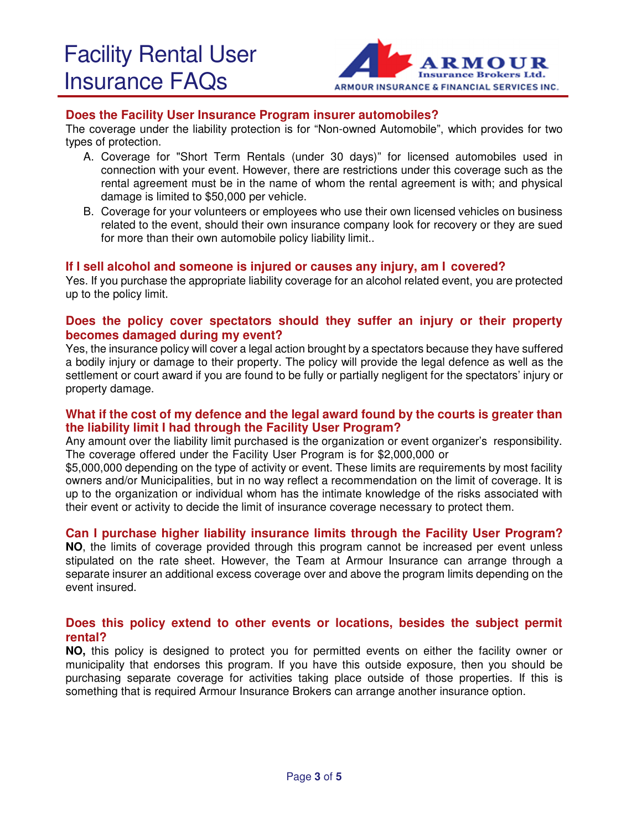

#### **Does the Facility User Insurance Program insurer automobiles?**

The coverage under the liability protection is for "Non-owned Automobile", which provides for two types of protection.

- A. Coverage for "Short Term Rentals (under 30 days)" for licensed automobiles used in connection with your event. However, there are restrictions under this coverage such as the rental agreement must be in the name of whom the rental agreement is with; and physical damage is limited to \$50,000 per vehicle.
- B. Coverage for your volunteers or employees who use their own licensed vehicles on business related to the event, should their own insurance company look for recovery or they are sued for more than their own automobile policy liability limit...

#### **If I sell alcohol and someone is injured or causes any injury, am I covered?**

Yes. If you purchase the appropriate liability coverage for an alcohol related event, you are protected up to the policy limit.

#### **Does the policy cover spectators should they suffer an injury or their property becomes damaged during my event?**

Yes, the insurance policy will cover a legal action brought by a spectators because they have suffered a bodily injury or damage to their property. The policy will provide the legal defence as well as the settlement or court award if you are found to be fully or partially negligent for the spectators' injury or property damage.

#### **What if the cost of my defence and the legal award found by the courts is greater than the liability limit I had through the Facility User Program?**

Any amount over the liability limit purchased is the organization or event organizer's responsibility. The coverage offered under the Facility User Program is for \$2,000,000 or

\$5,000,000 depending on the type of activity or event. These limits are requirements by most facility owners and/or Municipalities, but in no way reflect a recommendation on the limit of coverage. It is up to the organization or individual whom has the intimate knowledge of the risks associated with their event or activity to decide the limit of insurance coverage necessary to protect them.

#### **Can I purchase higher liability insurance limits through the Facility User Program?**

**NO**, the limits of coverage provided through this program cannot be increased per event unless stipulated on the rate sheet. However, the Team at Armour Insurance can arrange through a separate insurer an additional excess coverage over and above the program limits depending on the event insured.

#### **Does this policy extend to other events or locations, besides the subject permit rental?**

**NO,** this policy is designed to protect you for permitted events on either the facility owner or municipality that endorses this program. If you have this outside exposure, then you should be purchasing separate coverage for activities taking place outside of those properties. If this is something that is required Armour Insurance Brokers can arrange another insurance option.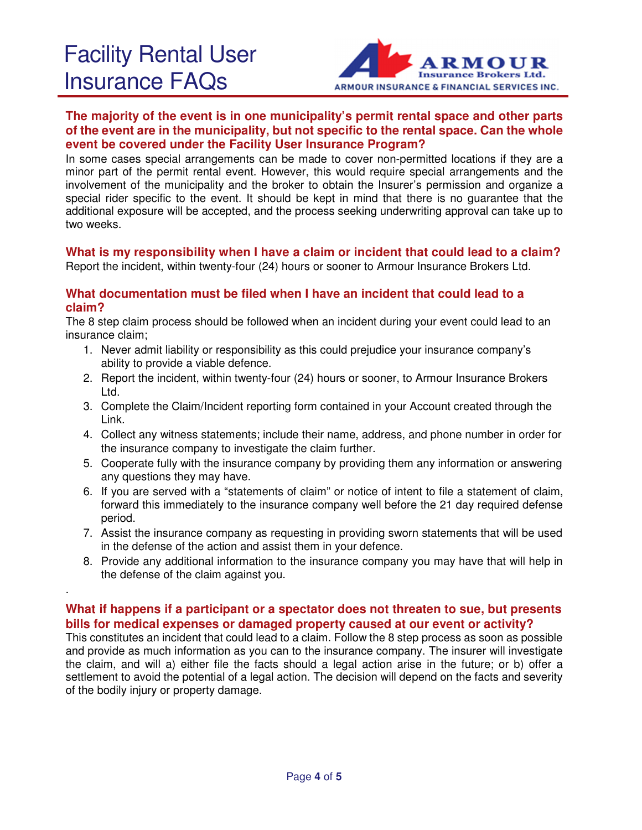.



# **The majority of the event is in one municipality's permit rental space and other parts of the event are in the municipality, but not specific to the rental space. Can the whole event be covered under the Facility User Insurance Program?**

In some cases special arrangements can be made to cover non-permitted locations if they are a minor part of the permit rental event. However, this would require special arrangements and the involvement of the municipality and the broker to obtain the Insurer's permission and organize a special rider specific to the event. It should be kept in mind that there is no guarantee that the additional exposure will be accepted, and the process seeking underwriting approval can take up to two weeks.

# **What is my responsibility when I have a claim or incident that could lead to a claim?**

Report the incident, within twenty-four (24) hours or sooner to Armour Insurance Brokers Ltd.

# **What documentation must be filed when I have an incident that could lead to a claim?**

The 8 step claim process should be followed when an incident during your event could lead to an insurance claim;

- 1. Never admit liability or responsibility as this could prejudice your insurance company's ability to provide a viable defence.
- 2. Report the incident, within twenty-four (24) hours or sooner, to Armour Insurance Brokers Ltd.
- 3. Complete the Claim/Incident reporting form contained in your Account created through the Link.
- 4. Collect any witness statements; include their name, address, and phone number in order for the insurance company to investigate the claim further.
- 5. Cooperate fully with the insurance company by providing them any information or answering any questions they may have.
- 6. If you are served with a "statements of claim" or notice of intent to file a statement of claim, forward this immediately to the insurance company well before the 21 day required defense period.
- 7. Assist the insurance company as requesting in providing sworn statements that will be used in the defense of the action and assist them in your defence.
- 8. Provide any additional information to the insurance company you may have that will help in the defense of the claim against you.

## **What if happens if a participant or a spectator does not threaten to sue, but presents bills for medical expenses or damaged property caused at our event or activity?**

This constitutes an incident that could lead to a claim. Follow the 8 step process as soon as possible and provide as much information as you can to the insurance company. The insurer will investigate the claim, and will a) either file the facts should a legal action arise in the future; or b) offer a settlement to avoid the potential of a legal action. The decision will depend on the facts and severity of the bodily injury or property damage.